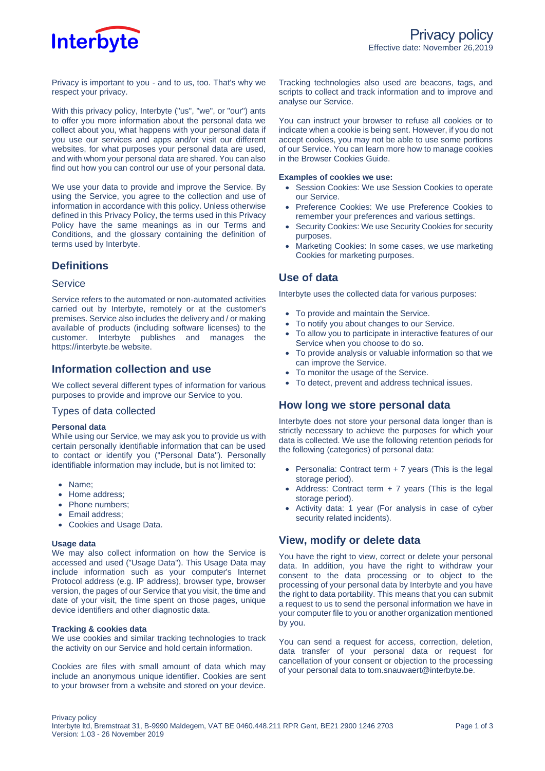

Privacy is important to you - and to us, too. That's why we respect your privacy.

With this privacy policy, Interbyte ("us", "we", or "our") ants to offer you more information about the personal data we collect about you, what happens with your personal data if you use our services and apps and/or visit our different websites, for what purposes your personal data are used, and with whom your personal data are shared. You can also find out how you can control our use of your personal data.

We use your data to provide and improve the Service. By using the Service, you agree to the collection and use of information in accordance with this policy. Unless otherwise defined in this Privacy Policy, the terms used in this Privacy Policy have the same meanings as in our Terms and Conditions, and the glossary containing the definition of terms used by Interbyte.

## **Definitions**

#### **Service**

Service refers to the automated or non-automated activities carried out by Interbyte, remotely or at the customer's premises. Service also includes the delivery and / or making available of products (including software licenses) to the customer. Interbyte publishes and manages the https://interbyte.be website.

### **Information collection and use**

We collect several different types of information for various purposes to provide and improve our Service to you.

#### Types of data collected

#### **Personal data**

While using our Service, we may ask you to provide us with certain personally identifiable information that can be used to contact or identify you ("Personal Data"). Personally identifiable information may include, but is not limited to:

- Name;
- Home address;
- Phone numbers;
- Email address:
- Cookies and Usage Data.

#### **Usage data**

We may also collect information on how the Service is accessed and used ("Usage Data"). This Usage Data may include information such as your computer's Internet Protocol address (e.g. IP address), browser type, browser version, the pages of our Service that you visit, the time and date of your visit, the time spent on those pages, unique device identifiers and other diagnostic data.

#### **Tracking & cookies data**

We use cookies and similar tracking technologies to track the activity on our Service and hold certain information.

Cookies are files with small amount of data which may include an anonymous unique identifier. Cookies are sent to your browser from a website and stored on your device.

Tracking technologies also used are beacons, tags, and scripts to collect and track information and to improve and analyse our Service.

You can instruct your browser to refuse all cookies or to indicate when a cookie is being sent. However, if you do not accept cookies, you may not be able to use some portions of our Service. You can learn more how to manage cookies in the Browser Cookies Guide.

#### **Examples of cookies we use:**

- Session Cookies: We use Session Cookies to operate our Service.
- Preference Cookies: We use Preference Cookies to remember your preferences and various settings.
- Security Cookies: We use Security Cookies for security purposes.
- Marketing Cookies: In some cases, we use marketing Cookies for marketing purposes.

## **Use of data**

Interbyte uses the collected data for various purposes:

- To provide and maintain the Service.
- To notify you about changes to our Service.
- To allow you to participate in interactive features of our Service when you choose to do so.
- To provide analysis or valuable information so that we can improve the Service.
- To monitor the usage of the Service.
- To detect, prevent and address technical issues.

## **How long we store personal data**

Interbyte does not store your personal data longer than is strictly necessary to achieve the purposes for which your data is collected. We use the following retention periods for the following (categories) of personal data:

- Personalia: Contract term + 7 years (This is the legal storage period).
- Address: Contract term  $+ 7$  years (This is the legal storage period).
- Activity data: 1 year (For analysis in case of cyber security related incidents).

# **View, modify or delete data**

You have the right to view, correct or delete your personal data. In addition, you have the right to withdraw your consent to the data processing or to object to the processing of your personal data by Interbyte and you have the right to data portability. This means that you can submit a request to us to send the personal information we have in your computer file to you or another organization mentioned by you.

You can send a request for access, correction, deletion, data transfer of your personal data or request for cancellation of your consent or objection to the processing of your personal data to tom.snauwaert@interbyte.be.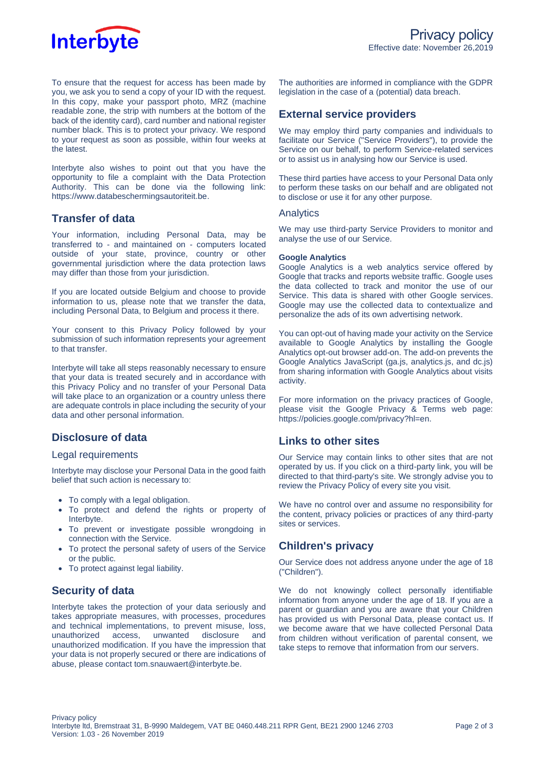

To ensure that the request for access has been made by you, we ask you to send a copy of your ID with the request. In this copy, make your passport photo, MRZ (machine readable zone, the strip with numbers at the bottom of the back of the identity card), card number and national register number black. This is to protect your privacy. We respond to your request as soon as possible, within four weeks at the latest.

Interbyte also wishes to point out that you have the opportunity to file a complaint with the Data Protection Authority. This can be done via the following link: https://www.databeschermingsautoriteit.be.

## **Transfer of data**

Your information, including Personal Data, may be transferred to - and maintained on - computers located outside of your state, province, country or other governmental jurisdiction where the data protection laws may differ than those from your jurisdiction.

If you are located outside Belgium and choose to provide information to us, please note that we transfer the data, including Personal Data, to Belgium and process it there.

Your consent to this Privacy Policy followed by your submission of such information represents your agreement to that transfer.

Interbyte will take all steps reasonably necessary to ensure that your data is treated securely and in accordance with this Privacy Policy and no transfer of your Personal Data will take place to an organization or a country unless there are adequate controls in place including the security of your data and other personal information.

## **Disclosure of data**

### Legal requirements

Interbyte may disclose your Personal Data in the good faith belief that such action is necessary to:

- To comply with a legal obligation.
- To protect and defend the rights or property of Interbyte.
- To prevent or investigate possible wrongdoing in connection with the Service.
- To protect the personal safety of users of the Service or the public.
- To protect against legal liability.

## **Security of data**

Interbyte takes the protection of your data seriously and takes appropriate measures, with processes, procedures and technical implementations, to prevent misuse, loss, unauthorized access, unwanted disclosure and unauthorized modification. If you have the impression that your data is not properly secured or there are indications of abuse, please contact tom.snauwaert@interbyte.be.

The authorities are informed in compliance with the GDPR legislation in the case of a (potential) data breach.

## **External service providers**

We may employ third party companies and individuals to facilitate our Service ("Service Providers"), to provide the Service on our behalf, to perform Service-related services or to assist us in analysing how our Service is used.

These third parties have access to your Personal Data only to perform these tasks on our behalf and are obligated not to disclose or use it for any other purpose.

### Analytics

We may use third-party Service Providers to monitor and analyse the use of our Service.

#### **Google Analytics**

Google Analytics is a web analytics service offered by Google that tracks and reports website traffic. Google uses the data collected to track and monitor the use of our Service. This data is shared with other Google services. Google may use the collected data to contextualize and personalize the ads of its own advertising network.

You can opt-out of having made your activity on the Service available to Google Analytics by installing the Google Analytics opt-out browser add-on. The add-on prevents the Google Analytics JavaScript (ga.js, analytics.js, and dc.js) from sharing information with Google Analytics about visits activity.

For more information on the privacy practices of Google, please visit the Google Privacy & Terms web page: https://policies.google.com/privacy?hl=en.

## **Links to other sites**

Our Service may contain links to other sites that are not operated by us. If you click on a third-party link, you will be directed to that third-party's site. We strongly advise you to review the Privacy Policy of every site you visit.

We have no control over and assume no responsibility for the content, privacy policies or practices of any third-party sites or services.

## **Children's privacy**

Our Service does not address anyone under the age of 18 ("Children").

We do not knowingly collect personally identifiable information from anyone under the age of 18. If you are a parent or guardian and you are aware that your Children has provided us with Personal Data, please contact us. If we become aware that we have collected Personal Data from children without verification of parental consent, we take steps to remove that information from our servers.